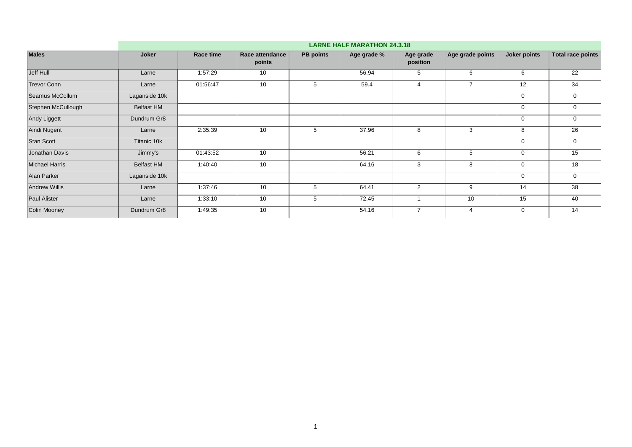|                       |                   | <b>LARNE HALF MARATHON 24.3.18</b> |                           |                  |             |                       |                  |              |                          |  |  |  |  |
|-----------------------|-------------------|------------------------------------|---------------------------|------------------|-------------|-----------------------|------------------|--------------|--------------------------|--|--|--|--|
| <b>Males</b>          | Joker             | Race time                          | Race attendance<br>points | <b>PB</b> points | Age grade % | Age grade<br>position | Age grade points | Joker points | <b>Total race points</b> |  |  |  |  |
| Jeff Hull             | Larne             | 1:57:29                            | 10                        |                  | 56.94       | 5                     | 6                | 6            | 22                       |  |  |  |  |
| <b>Trevor Conn</b>    | Larne             | 01:56:47                           | 10                        | 5                | 59.4        | 4                     | $\overline{7}$   | 12           | 34                       |  |  |  |  |
| Seamus McCollum       | Laganside 10k     |                                    |                           |                  |             |                       |                  | $\mathbf 0$  | 0                        |  |  |  |  |
| Stephen McCullough    | <b>Belfast HM</b> |                                    |                           |                  |             |                       |                  | $\mathbf 0$  | 0                        |  |  |  |  |
| Andy Liggett          | Dundrum Gr8       |                                    |                           |                  |             |                       |                  | $\mathbf 0$  | 0                        |  |  |  |  |
| Aindi Nugent          | Larne             | 2:35:39                            | 10                        | 5                | 37.96       | 8                     | 3                | 8            | 26                       |  |  |  |  |
| <b>Stan Scott</b>     | Titanic 10k       |                                    |                           |                  |             |                       |                  | $\mathbf 0$  | $\mathbf 0$              |  |  |  |  |
| Jonathan Davis        | Jimmy's           | 01:43:52                           | 10                        |                  | 56.21       | 6                     | 5                | $\mathbf 0$  | 15                       |  |  |  |  |
| <b>Michael Harris</b> | <b>Belfast HM</b> | 1:40:40                            | 10                        |                  | 64.16       | 3                     | 8                | $\mathbf 0$  | 18                       |  |  |  |  |
| Alan Parker           | Laganside 10k     |                                    |                           |                  |             |                       |                  | $\mathbf 0$  | 0                        |  |  |  |  |
| <b>Andrew Willis</b>  | Larne             | 1:37:46                            | 10                        | 5                | 64.41       | $\overline{2}$        | 9                | 14           | 38                       |  |  |  |  |
| <b>Paul Alister</b>   | Larne             | 1:33:10                            | 10                        | 5                | 72.45       |                       | 10               | 15           | 40                       |  |  |  |  |
| Colin Mooney          | Dundrum Gr8       | 1:49:35                            | 10                        |                  | 54.16       | $\overline{ }$        | $\overline{4}$   | $\mathbf 0$  | 14                       |  |  |  |  |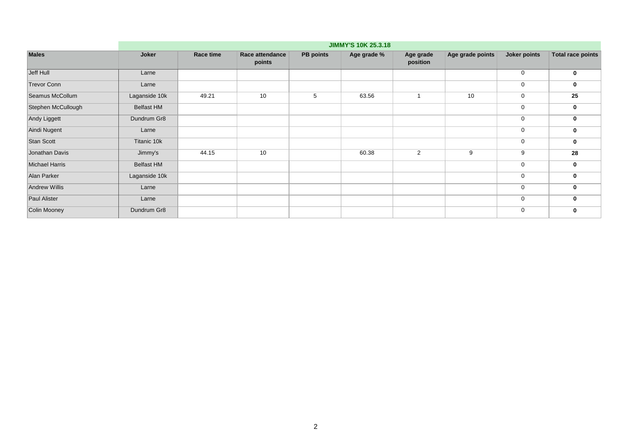|                       |                   | <b>JIMMY'S 10K 25.3.18</b> |                           |                  |             |                       |                  |              |                          |  |  |  |  |
|-----------------------|-------------------|----------------------------|---------------------------|------------------|-------------|-----------------------|------------------|--------------|--------------------------|--|--|--|--|
| <b>Males</b>          | Joker             | Race time                  | Race attendance<br>points | <b>PB points</b> | Age grade % | Age grade<br>position | Age grade points | Joker points | <b>Total race points</b> |  |  |  |  |
| Jeff Hull             | Larne             |                            |                           |                  |             |                       |                  | $\mathbf 0$  | 0                        |  |  |  |  |
| <b>Trevor Conn</b>    | Larne             |                            |                           |                  |             |                       |                  | $\mathbf 0$  | 0                        |  |  |  |  |
| Seamus McCollum       | Laganside 10k     | 49.21                      | 10                        | 5                | 63.56       |                       | 10               | $\mathbf 0$  | 25                       |  |  |  |  |
| Stephen McCullough    | <b>Belfast HM</b> |                            |                           |                  |             |                       |                  | $\mathbf 0$  | 0                        |  |  |  |  |
| Andy Liggett          | Dundrum Gr8       |                            |                           |                  |             |                       |                  | $\mathbf 0$  | $\mathbf 0$              |  |  |  |  |
| Aindi Nugent          | Larne             |                            |                           |                  |             |                       |                  | $\mathbf 0$  | 0                        |  |  |  |  |
| Stan Scott            | Titanic 10k       |                            |                           |                  |             |                       |                  | $\mathbf 0$  | 0                        |  |  |  |  |
| Jonathan Davis        | Jimmy's           | 44.15                      | 10                        |                  | 60.38       | 2                     | 9                | 9            | 28                       |  |  |  |  |
| <b>Michael Harris</b> | <b>Belfast HM</b> |                            |                           |                  |             |                       |                  | $\mathbf 0$  | $\bf{0}$                 |  |  |  |  |
| Alan Parker           | Laganside 10k     |                            |                           |                  |             |                       |                  | $\mathbf 0$  | 0                        |  |  |  |  |
| <b>Andrew Willis</b>  | Larne             |                            |                           |                  |             |                       |                  | $\mathbf 0$  | $\mathbf 0$              |  |  |  |  |
| Paul Alister          | Larne             |                            |                           |                  |             |                       |                  | $\mathbf 0$  | 0                        |  |  |  |  |
| Colin Mooney          | Dundrum Gr8       |                            |                           |                  |             |                       |                  | $\mathbf 0$  | 0                        |  |  |  |  |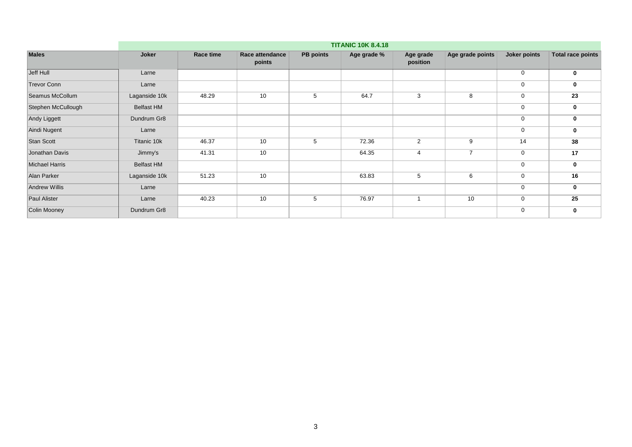|                       |                   | <b>TITANIC 10K 8.4.18</b> |                           |                  |             |                       |                  |              |                          |  |  |  |  |
|-----------------------|-------------------|---------------------------|---------------------------|------------------|-------------|-----------------------|------------------|--------------|--------------------------|--|--|--|--|
| <b>Males</b>          | Joker             | Race time                 | Race attendance<br>points | <b>PB points</b> | Age grade % | Age grade<br>position | Age grade points | Joker points | <b>Total race points</b> |  |  |  |  |
| Jeff Hull             | Larne             |                           |                           |                  |             |                       |                  | $\mathbf 0$  | $\mathbf 0$              |  |  |  |  |
| <b>Trevor Conn</b>    | Larne             |                           |                           |                  |             |                       |                  | $\mathbf 0$  | 0                        |  |  |  |  |
| Seamus McCollum       | Laganside 10k     | 48.29                     | 10                        | 5                | 64.7        | 3                     | 8                | $\mathbf 0$  | 23                       |  |  |  |  |
| Stephen McCullough    | <b>Belfast HM</b> |                           |                           |                  |             |                       |                  | $\mathbf 0$  | 0                        |  |  |  |  |
| Andy Liggett          | Dundrum Gr8       |                           |                           |                  |             |                       |                  | $\mathbf 0$  | $\mathbf 0$              |  |  |  |  |
| Aindi Nugent          | Larne             |                           |                           |                  |             |                       |                  | $\mathbf 0$  | 0                        |  |  |  |  |
| <b>Stan Scott</b>     | Titanic 10k       | 46.37                     | 10                        | 5                | 72.36       | 2                     | 9                | 14           | 38                       |  |  |  |  |
| Jonathan Davis        | Jimmy's           | 41.31                     | 10                        |                  | 64.35       | 4                     | $\overline{7}$   | $\mathbf 0$  | 17                       |  |  |  |  |
| <b>Michael Harris</b> | <b>Belfast HM</b> |                           |                           |                  |             |                       |                  | $\mathbf 0$  | $\mathbf 0$              |  |  |  |  |
| Alan Parker           | Laganside 10k     | 51.23                     | 10                        |                  | 63.83       | 5                     | 6                | $\mathbf 0$  | 16                       |  |  |  |  |
| <b>Andrew Willis</b>  | Larne             |                           |                           |                  |             |                       |                  | $\mathbf 0$  | $\mathbf 0$              |  |  |  |  |
| Paul Alister          | Larne             | 40.23                     | 10                        | 5                | 76.97       |                       | 10               | $\mathbf 0$  | 25                       |  |  |  |  |
| Colin Mooney          | Dundrum Gr8       |                           |                           |                  |             |                       |                  | $\mathbf 0$  | 0                        |  |  |  |  |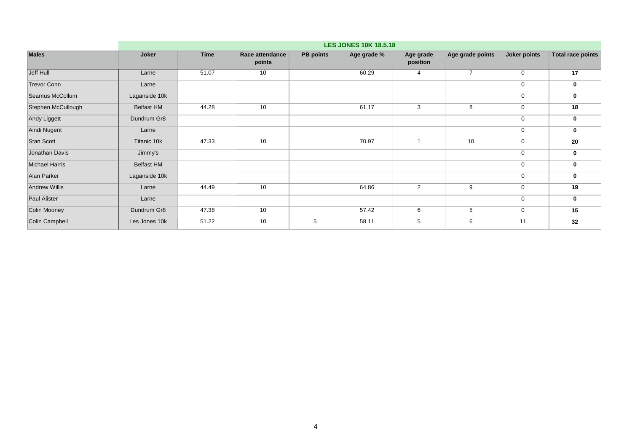|                       | <b>LES JONES 10K 18.5.18</b> |             |                           |                  |             |                       |                  |                |                          |  |  |  |
|-----------------------|------------------------------|-------------|---------------------------|------------------|-------------|-----------------------|------------------|----------------|--------------------------|--|--|--|
| <b>Males</b>          | Joker                        | <b>Time</b> | Race attendance<br>points | <b>PB points</b> | Age grade % | Age grade<br>position | Age grade points | Joker points   | <b>Total race points</b> |  |  |  |
| Jeff Hull             | Larne                        | 51.07       | 10                        |                  | 60.29       |                       | $\overline{7}$   | $\overline{0}$ | 17                       |  |  |  |
| <b>Trevor Conn</b>    | Larne                        |             |                           |                  |             |                       |                  | $\mathbf 0$    | 0                        |  |  |  |
| Seamus McCollum       | Laganside 10k                |             |                           |                  |             |                       |                  | $\mathbf 0$    | 0                        |  |  |  |
| Stephen McCullough    | <b>Belfast HM</b>            | 44.28       | 10                        |                  | 61.17       | 3                     | 8                | $\mathbf 0$    | 18                       |  |  |  |
| Andy Liggett          | Dundrum Gr8                  |             |                           |                  |             |                       |                  | $\mathbf 0$    | $\mathbf 0$              |  |  |  |
| Aindi Nugent          | Larne                        |             |                           |                  |             |                       |                  | $\mathbf 0$    | 0                        |  |  |  |
| Stan Scott            | Titanic 10k                  | 47.33       | 10                        |                  | 70.97       |                       | 10               | $\mathbf 0$    | 20                       |  |  |  |
| Jonathan Davis        | Jimmy's                      |             |                           |                  |             |                       |                  | $\mathbf 0$    | $\mathbf 0$              |  |  |  |
| <b>Michael Harris</b> | <b>Belfast HM</b>            |             |                           |                  |             |                       |                  | $\mathbf 0$    | $\mathbf 0$              |  |  |  |
| Alan Parker           | Laganside 10k                |             |                           |                  |             |                       |                  | $\mathbf 0$    | 0                        |  |  |  |
| <b>Andrew Willis</b>  | Larne                        | 44.49       | 10                        |                  | 64.86       | $\overline{2}$        | 9                | $\mathbf 0$    | 19                       |  |  |  |
| Paul Alister          | Larne                        |             |                           |                  |             |                       |                  | $\mathbf 0$    | $\mathbf 0$              |  |  |  |
| Colin Mooney          | Dundrum Gr8                  | 47.38       | 10                        |                  | 57.42       | 6                     | 5                | $\mathbf 0$    | 15                       |  |  |  |
| Colin Campbell        | Les Jones 10k                | 51.22       | 10                        | 5                | 58.11       | 5                     | 6                | 11             | 32                       |  |  |  |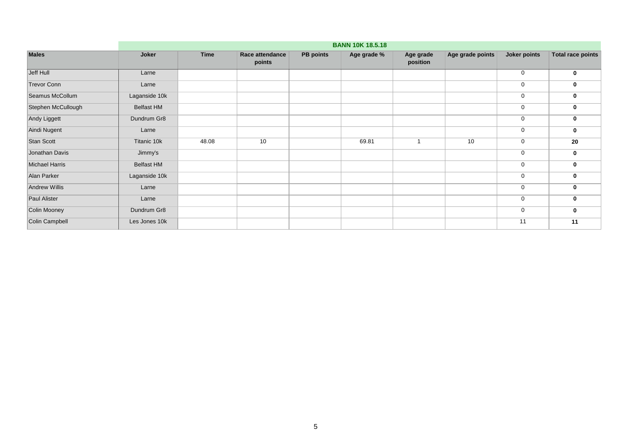|                       |                   | <b>BANN 10K 18.5.18</b> |                           |                  |             |                       |                  |              |                          |  |  |  |  |
|-----------------------|-------------------|-------------------------|---------------------------|------------------|-------------|-----------------------|------------------|--------------|--------------------------|--|--|--|--|
| <b>Males</b>          | Joker             | <b>Time</b>             | Race attendance<br>points | <b>PB points</b> | Age grade % | Age grade<br>position | Age grade points | Joker points | <b>Total race points</b> |  |  |  |  |
| Jeff Hull             | Larne             |                         |                           |                  |             |                       |                  | $\mathbf 0$  | 0                        |  |  |  |  |
| <b>Trevor Conn</b>    | Larne             |                         |                           |                  |             |                       |                  | $\mathbf 0$  | 0                        |  |  |  |  |
| Seamus McCollum       | Laganside 10k     |                         |                           |                  |             |                       |                  | $\mathbf 0$  | 0                        |  |  |  |  |
| Stephen McCullough    | <b>Belfast HM</b> |                         |                           |                  |             |                       |                  | $\mathbf 0$  | 0                        |  |  |  |  |
| Andy Liggett          | Dundrum Gr8       |                         |                           |                  |             |                       |                  | $\mathbf 0$  | $\mathbf 0$              |  |  |  |  |
| Aindi Nugent          | Larne             |                         |                           |                  |             |                       |                  | $\mathbf 0$  | 0                        |  |  |  |  |
| Stan Scott            | Titanic 10k       | 48.08                   | 10                        |                  | 69.81       |                       | 10               | $\mathbf 0$  | 20                       |  |  |  |  |
| Jonathan Davis        | Jimmy's           |                         |                           |                  |             |                       |                  | $\mathbf 0$  | 0                        |  |  |  |  |
| <b>Michael Harris</b> | <b>Belfast HM</b> |                         |                           |                  |             |                       |                  | $\mathbf 0$  | $\mathbf 0$              |  |  |  |  |
| Alan Parker           | Laganside 10k     |                         |                           |                  |             |                       |                  | $\mathbf 0$  | 0                        |  |  |  |  |
| <b>Andrew Willis</b>  | Larne             |                         |                           |                  |             |                       |                  | $\mathbf 0$  | $\mathbf 0$              |  |  |  |  |
| Paul Alister          | Larne             |                         |                           |                  |             |                       |                  | $\mathbf 0$  | 0                        |  |  |  |  |
| Colin Mooney          | Dundrum Gr8       |                         |                           |                  |             |                       |                  | $\mathbf 0$  | 0                        |  |  |  |  |
| Colin Campbell        | Les Jones 10k     |                         |                           |                  |             |                       |                  | 11           | 11                       |  |  |  |  |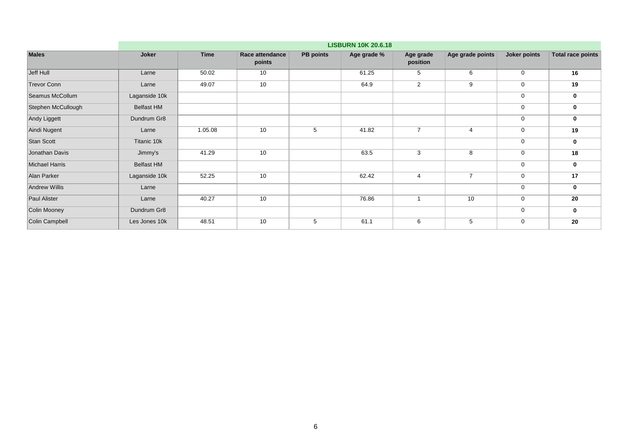|                       | <b>LISBURN 10K 20.6.18</b> |             |                           |                  |             |                       |                  |                  |                          |  |  |  |
|-----------------------|----------------------------|-------------|---------------------------|------------------|-------------|-----------------------|------------------|------------------|--------------------------|--|--|--|
| <b>Males</b>          | Joker                      | <b>Time</b> | Race attendance<br>points | <b>PB</b> points | Age grade % | Age grade<br>position | Age grade points | Joker points     | <b>Total race points</b> |  |  |  |
| Jeff Hull             | Larne                      | 50.02       | 10                        |                  | 61.25       | 5                     | 6                | $\mathbf 0$      | 16                       |  |  |  |
| <b>Trevor Conn</b>    | Larne                      | 49.07       | 10                        |                  | 64.9        | 2                     | 9                | $\mathbf 0$      | 19                       |  |  |  |
| Seamus McCollum       | Laganside 10k              |             |                           |                  |             |                       |                  | $\mathbf 0$      | 0                        |  |  |  |
| Stephen McCullough    | <b>Belfast HM</b>          |             |                           |                  |             |                       |                  | $\mathbf 0$      | 0                        |  |  |  |
| Andy Liggett          | Dundrum Gr8                |             |                           |                  |             |                       |                  | $\mathbf 0$      | 0                        |  |  |  |
| Aindi Nugent          | Larne                      | 1.05.08     | 10                        | 5                | 41.82       | $\overline{7}$        | $\overline{4}$   | $\mathbf 0$      | 19                       |  |  |  |
| Stan Scott            | Titanic 10k                |             |                           |                  |             |                       |                  | $\mathbf 0$      | 0                        |  |  |  |
| Jonathan Davis        | Jimmy's                    | 41.29       | 10                        |                  | 63.5        | 3                     | 8                | $\mathbf 0$      | 18                       |  |  |  |
| <b>Michael Harris</b> | <b>Belfast HM</b>          |             |                           |                  |             |                       |                  | $\boldsymbol{0}$ | 0                        |  |  |  |
| Alan Parker           | Laganside 10k              | 52.25       | 10                        |                  | 62.42       | 4                     | $\overline{7}$   | $\mathbf 0$      | 17                       |  |  |  |
| <b>Andrew Willis</b>  | Larne                      |             |                           |                  |             |                       |                  | $\mathbf 0$      | 0                        |  |  |  |
| <b>Paul Alister</b>   | Larne                      | 40.27       | 10                        |                  | 76.86       |                       | 10               | $\mathbf 0$      | 20                       |  |  |  |
| Colin Mooney          | Dundrum Gr8                |             |                           |                  |             |                       |                  | $\mathbf 0$      | 0                        |  |  |  |
| Colin Campbell        | Les Jones 10k              | 48.51       | 10                        | 5                | 61.1        | 6                     | 5                | $\mathbf 0$      | 20                       |  |  |  |
|                       |                            |             |                           |                  |             |                       |                  |                  |                          |  |  |  |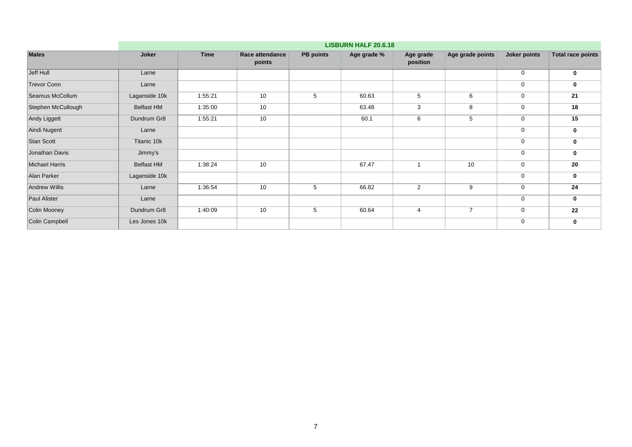|                       |                   | <b>LISBURN HALF 20.6.18</b> |                           |                  |             |                       |                  |              |                          |  |  |  |  |
|-----------------------|-------------------|-----------------------------|---------------------------|------------------|-------------|-----------------------|------------------|--------------|--------------------------|--|--|--|--|
| <b>Males</b>          | Joker             | <b>Time</b>                 | Race attendance<br>points | <b>PB points</b> | Age grade % | Age grade<br>position | Age grade points | Joker points | <b>Total race points</b> |  |  |  |  |
| Jeff Hull             | Larne             |                             |                           |                  |             |                       |                  | $\mathbf 0$  | 0                        |  |  |  |  |
| <b>Trevor Conn</b>    | Larne             |                             |                           |                  |             |                       |                  | $\mathbf 0$  | 0                        |  |  |  |  |
| Seamus McCollum       | Laganside 10k     | 1:55:21                     | 10                        | 5                | 60.63       | 5                     | 6                | $\mathbf 0$  | 21                       |  |  |  |  |
| Stephen McCullough    | <b>Belfast HM</b> | 1:35:00                     | 10                        |                  | 63.48       | 3                     | 8                | $\mathbf 0$  | 18                       |  |  |  |  |
| Andy Liggett          | Dundrum Gr8       | 1:55:21                     | 10                        |                  | 60.1        | 6                     | 5                | $\mathbf 0$  | 15                       |  |  |  |  |
| Aindi Nugent          | Larne             |                             |                           |                  |             |                       |                  | $\mathbf 0$  | 0                        |  |  |  |  |
| <b>Stan Scott</b>     | Titanic 10k       |                             |                           |                  |             |                       |                  | $\mathbf 0$  | 0                        |  |  |  |  |
| Jonathan Davis        | Jimmy's           |                             |                           |                  |             |                       |                  | 0            | 0                        |  |  |  |  |
| <b>Michael Harris</b> | <b>Belfast HM</b> | 1:38:24                     | 10                        |                  | 67.47       |                       | 10               | $\mathbf 0$  | 20                       |  |  |  |  |
| Alan Parker           | Laganside 10k     |                             |                           |                  |             |                       |                  | $\mathbf 0$  | 0                        |  |  |  |  |
| <b>Andrew Willis</b>  | Larne             | 1:36:54                     | 10                        | 5                | 66.82       | 2                     | 9                | $\mathbf 0$  | 24                       |  |  |  |  |
| Paul Alister          | Larne             |                             |                           |                  |             |                       |                  | $\mathbf 0$  | 0                        |  |  |  |  |
| Colin Mooney          | Dundrum Gr8       | 1:40:09                     | 10                        | 5                | 60.64       | 4                     | $\overline{7}$   | $\mathbf 0$  | 22                       |  |  |  |  |
| Colin Campbell        | Les Jones 10k     |                             |                           |                  |             |                       |                  | $\mathbf 0$  | 0                        |  |  |  |  |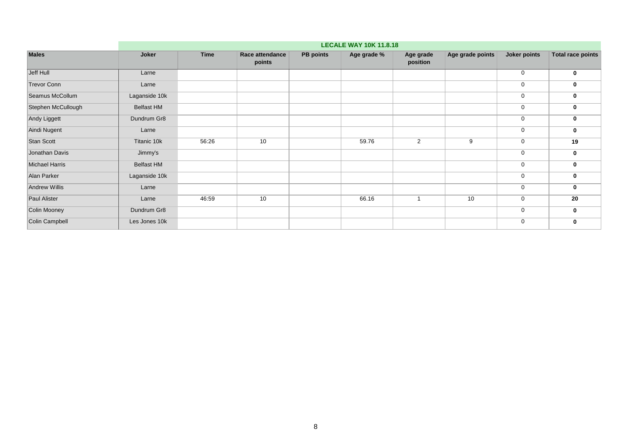|                       | <b>LECALE WAY 10K 11.8.18</b> |             |                           |                  |             |                       |                  |              |                          |  |  |  |
|-----------------------|-------------------------------|-------------|---------------------------|------------------|-------------|-----------------------|------------------|--------------|--------------------------|--|--|--|
| <b>Males</b>          | Joker                         | <b>Time</b> | Race attendance<br>points | <b>PB points</b> | Age grade % | Age grade<br>position | Age grade points | Joker points | <b>Total race points</b> |  |  |  |
| Jeff Hull             | Larne                         |             |                           |                  |             |                       |                  | $\mathbf 0$  | $\bf{0}$                 |  |  |  |
| <b>Trevor Conn</b>    | Larne                         |             |                           |                  |             |                       |                  | $\mathbf 0$  | 0                        |  |  |  |
| Seamus McCollum       | Laganside 10k                 |             |                           |                  |             |                       |                  | $\mathbf 0$  | 0                        |  |  |  |
| Stephen McCullough    | <b>Belfast HM</b>             |             |                           |                  |             |                       |                  | $\mathbf 0$  | $\bf{0}$                 |  |  |  |
| Andy Liggett          | Dundrum Gr8                   |             |                           |                  |             |                       |                  | $\mathbf 0$  | $\bf{0}$                 |  |  |  |
| Aindi Nugent          | Larne                         |             |                           |                  |             |                       |                  | $\mathbf 0$  | $\mathbf 0$              |  |  |  |
| Stan Scott            | Titanic 10k                   | 56:26       | 10                        |                  | 59.76       | 2                     | 9                | $\mathbf 0$  | 19                       |  |  |  |
| Jonathan Davis        | Jimmy's                       |             |                           |                  |             |                       |                  | $\mathbf 0$  | $\mathbf 0$              |  |  |  |
| <b>Michael Harris</b> | <b>Belfast HM</b>             |             |                           |                  |             |                       |                  | $\mathbf 0$  | $\mathbf 0$              |  |  |  |
| Alan Parker           | Laganside 10k                 |             |                           |                  |             |                       |                  | $\mathbf 0$  | 0                        |  |  |  |
| <b>Andrew Willis</b>  | Larne                         |             |                           |                  |             |                       |                  | $\mathbf 0$  | $\mathbf 0$              |  |  |  |
| Paul Alister          | Larne                         | 46:59       | 10                        |                  | 66.16       | $\blacktriangleleft$  | 10               | $\mathbf 0$  | 20                       |  |  |  |
| Colin Mooney          | Dundrum Gr8                   |             |                           |                  |             |                       |                  | $\mathbf 0$  | $\mathbf 0$              |  |  |  |
| Colin Campbell        | Les Jones 10k                 |             |                           |                  |             |                       |                  | $\mathbf 0$  | 0                        |  |  |  |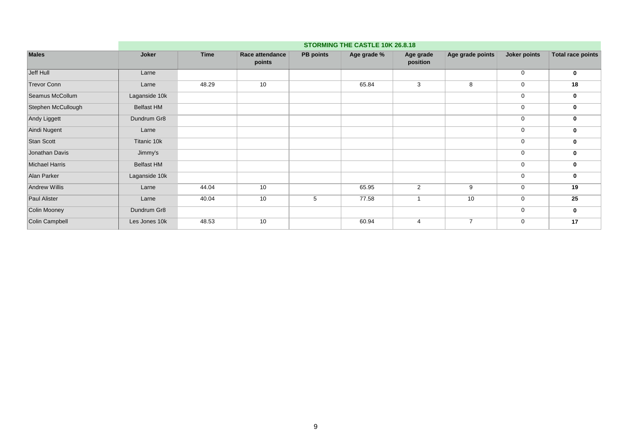|                       |                   | STORMING THE CASTLE 10K 26.8.18 |                           |                  |             |                       |                  |              |                          |  |  |  |  |
|-----------------------|-------------------|---------------------------------|---------------------------|------------------|-------------|-----------------------|------------------|--------------|--------------------------|--|--|--|--|
| <b>Males</b>          | Joker             | <b>Time</b>                     | Race attendance<br>points | <b>PB points</b> | Age grade % | Age grade<br>position | Age grade points | Joker points | <b>Total race points</b> |  |  |  |  |
| Jeff Hull             | Larne             |                                 |                           |                  |             |                       |                  | $\mathbf 0$  | 0                        |  |  |  |  |
| <b>Trevor Conn</b>    | Larne             | 48.29                           | 10                        |                  | 65.84       | 3                     | 8                | $\mathbf 0$  | 18                       |  |  |  |  |
| Seamus McCollum       | Laganside 10k     |                                 |                           |                  |             |                       |                  | $\mathbf 0$  | 0                        |  |  |  |  |
| Stephen McCullough    | <b>Belfast HM</b> |                                 |                           |                  |             |                       |                  | $\mathbf 0$  | 0                        |  |  |  |  |
| Andy Liggett          | Dundrum Gr8       |                                 |                           |                  |             |                       |                  | $\mathbf 0$  | $\mathbf 0$              |  |  |  |  |
| Aindi Nugent          | Larne             |                                 |                           |                  |             |                       |                  | $\mathbf 0$  | 0                        |  |  |  |  |
| Stan Scott            | Titanic 10k       |                                 |                           |                  |             |                       |                  | $\mathbf 0$  | 0                        |  |  |  |  |
| Jonathan Davis        | Jimmy's           |                                 |                           |                  |             |                       |                  | $\mathbf 0$  | 0                        |  |  |  |  |
| <b>Michael Harris</b> | <b>Belfast HM</b> |                                 |                           |                  |             |                       |                  | $\mathbf 0$  | 0                        |  |  |  |  |
| Alan Parker           | Laganside 10k     |                                 |                           |                  |             |                       |                  | $\mathbf 0$  | 0                        |  |  |  |  |
| Andrew Willis         | Larne             | 44.04                           | 10                        |                  | 65.95       | 2                     | 9                | $\mathbf 0$  | 19                       |  |  |  |  |
| Paul Alister          | Larne             | 40.04                           | 10                        | 5                | 77.58       |                       | 10               | $\mathbf 0$  | 25                       |  |  |  |  |
| Colin Mooney          | Dundrum Gr8       |                                 |                           |                  |             |                       |                  | $\mathbf 0$  | $\mathbf 0$              |  |  |  |  |
| Colin Campbell        | Les Jones 10k     | 48.53                           | 10                        |                  | 60.94       | 4                     | $\overline{7}$   | $\mathbf 0$  | 17                       |  |  |  |  |
|                       |                   |                                 |                           |                  |             |                       |                  |              |                          |  |  |  |  |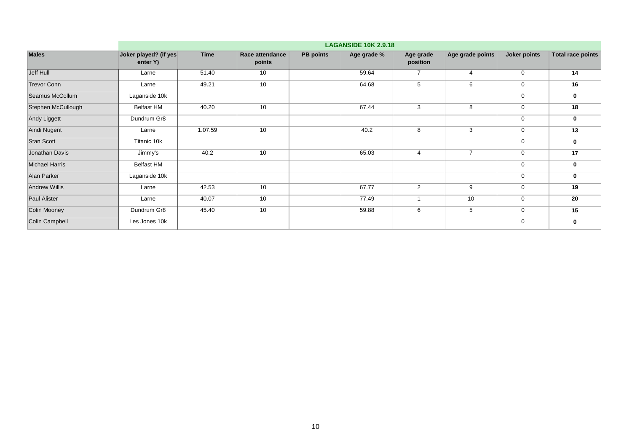|                       | <b>LAGANSIDE 10K 2.9.18</b>       |             |                           |                  |             |                          |                  |              |                          |  |  |
|-----------------------|-----------------------------------|-------------|---------------------------|------------------|-------------|--------------------------|------------------|--------------|--------------------------|--|--|
| <b>Males</b>          | Joker played? (if yes<br>enter Y) | <b>Time</b> | Race attendance<br>points | <b>PB points</b> | Age grade % | Age grade<br>position    | Age grade points | Joker points | <b>Total race points</b> |  |  |
| Jeff Hull             | Larne                             | 51.40       | 10                        |                  | 59.64       | $\overline{\phantom{a}}$ | $\overline{4}$   | $\mathbf 0$  | 14                       |  |  |
| <b>Trevor Conn</b>    | Larne                             | 49.21       | 10                        |                  | 64.68       | 5                        | 6                | $\mathbf 0$  | 16                       |  |  |
| Seamus McCollum       | Laganside 10k                     |             |                           |                  |             |                          |                  | $\mathbf 0$  | 0                        |  |  |
| Stephen McCullough    | <b>Belfast HM</b>                 | 40.20       | 10                        |                  | 67.44       | 3                        | 8                | $\mathbf 0$  | 18                       |  |  |
| Andy Liggett          | Dundrum Gr8                       |             |                           |                  |             |                          |                  | $\mathbf 0$  | $\mathbf 0$              |  |  |
| Aindi Nugent          | Larne                             | 1.07.59     | 10                        |                  | 40.2        | 8                        | 3                | $\mathbf 0$  | 13                       |  |  |
| <b>Stan Scott</b>     | Titanic 10k                       |             |                           |                  |             |                          |                  | $\mathbf 0$  | 0                        |  |  |
| Jonathan Davis        | Jimmy's                           | 40.2        | 10                        |                  | 65.03       | $\overline{4}$           | $\overline{7}$   | $\mathbf 0$  | 17                       |  |  |
| <b>Michael Harris</b> | <b>Belfast HM</b>                 |             |                           |                  |             |                          |                  | $\mathbf 0$  | 0                        |  |  |
| Alan Parker           | Laganside 10k                     |             |                           |                  |             |                          |                  | $\mathbf 0$  | $\bf{0}$                 |  |  |
| <b>Andrew Willis</b>  | Larne                             | 42.53       | 10                        |                  | 67.77       | 2                        | 9                | $\mathbf 0$  | 19                       |  |  |
| Paul Alister          | Larne                             | 40.07       | 10                        |                  | 77.49       |                          | 10               | $\mathbf 0$  | 20                       |  |  |
| Colin Mooney          | Dundrum Gr8                       | 45.40       | 10                        |                  | 59.88       | 6                        | 5                | $\mathbf 0$  | 15                       |  |  |
| Colin Campbell        | Les Jones 10k                     |             |                           |                  |             |                          |                  | $\mathbf 0$  | 0                        |  |  |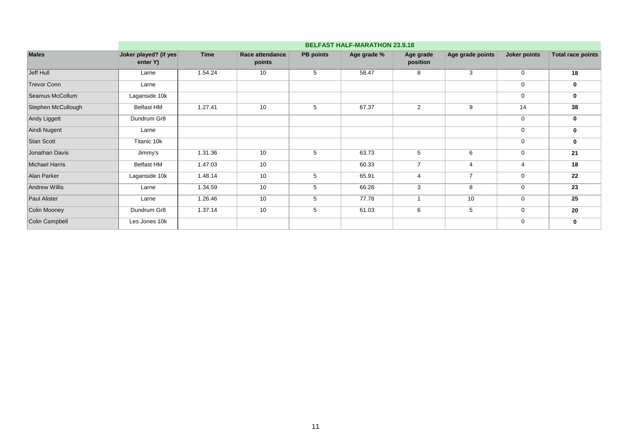|                       |                                   | <b>BELFAST HALF-MARATHON 23.9.18</b> |                           |                  |             |                       |                  |                |                          |  |  |  |  |
|-----------------------|-----------------------------------|--------------------------------------|---------------------------|------------------|-------------|-----------------------|------------------|----------------|--------------------------|--|--|--|--|
| <b>Males</b>          | Joker played? (if yes<br>enter Y) | <b>Time</b>                          | Race attendance<br>points | <b>PB</b> points | Age grade % | Age grade<br>position | Age grade points | Joker points   | <b>Total race points</b> |  |  |  |  |
| Jeff Hull             | Larne                             | 1.54.24                              | 10                        | 5                | 58.47       | 8                     | 3                | $\mathbf 0$    | 18                       |  |  |  |  |
| <b>Trevor Conn</b>    | Larne                             |                                      |                           |                  |             |                       |                  | $\mathbf 0$    | 0                        |  |  |  |  |
| Seamus McCollum       | Laganside 10k                     |                                      |                           |                  |             |                       |                  | $\mathbf 0$    | 0                        |  |  |  |  |
| Stephen McCullough    | <b>Belfast HM</b>                 | 1.27.41                              | 10                        | 5                | 67.37       | $\overline{2}$        | 9                | 14             | 38                       |  |  |  |  |
| Andy Liggett          | Dundrum Gr8                       |                                      |                           |                  |             |                       |                  | $\mathbf 0$    | 0                        |  |  |  |  |
| Aindi Nugent          | Larne                             |                                      |                           |                  |             |                       |                  | $\mathbf 0$    | 0                        |  |  |  |  |
| Stan Scott            | Titanic 10k                       |                                      |                           |                  |             |                       |                  | $\mathbf 0$    | 0                        |  |  |  |  |
| Jonathan Davis        | Jimmy's                           | 1.31.36                              | 10                        | 5                | 63.73       | 5                     | 6                | $\mathbf 0$    | 21                       |  |  |  |  |
| <b>Michael Harris</b> | <b>Belfast HM</b>                 | 1.47.03                              | 10                        |                  | 60.33       | $\overline{ }$        | $\overline{4}$   | $\overline{4}$ | 18                       |  |  |  |  |
| Alan Parker           | Laganside 10k                     | 1.48.14                              | 10                        | 5                | 65.91       | 4                     | $\overline{7}$   | $\mathbf 0$    | 22                       |  |  |  |  |
| <b>Andrew Willis</b>  | Larne                             | 1.34.59                              | 10                        | 5                | 66.28       | 3                     | 8                | $\mathbf 0$    | 23                       |  |  |  |  |
| <b>Paul Alister</b>   | Larne                             | 1.26.46                              | 10                        | 5                | 77.78       |                       | 10               | $\mathbf 0$    | 25                       |  |  |  |  |
| Colin Mooney          | Dundrum Gr8                       | 1.37.14                              | 10                        | 5                | 61.03       | 6                     | 5                | $\mathbf 0$    | 20                       |  |  |  |  |
| Colin Campbell        | Les Jones 10k                     |                                      |                           |                  |             |                       |                  | $\mathbf 0$    | 0                        |  |  |  |  |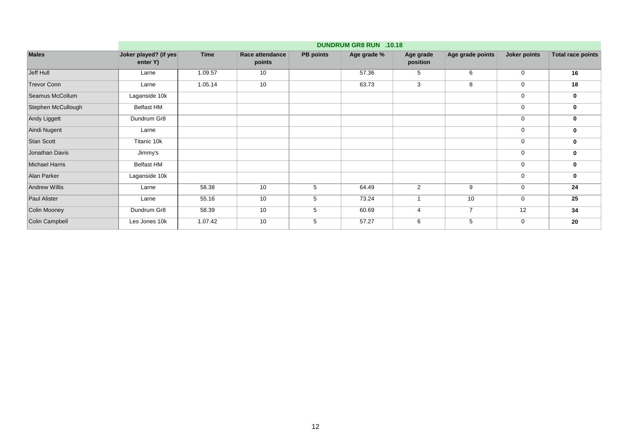|                       | <b>DUNDRUM GR8 RUN .10.18</b>     |             |                           |                  |             |                       |                  |              |                          |  |  |
|-----------------------|-----------------------------------|-------------|---------------------------|------------------|-------------|-----------------------|------------------|--------------|--------------------------|--|--|
| <b>Males</b>          | Joker played? (if yes<br>enter Y) | <b>Time</b> | Race attendance<br>points | <b>PB</b> points | Age grade % | Age grade<br>position | Age grade points | Joker points | <b>Total race points</b> |  |  |
| Jeff Hull             | Larne                             | 1.09.57     | 10                        |                  | 57.36       | 5                     | 6                | $\mathbf 0$  | 16                       |  |  |
| <b>Trevor Conn</b>    | Larne                             | 1.05.14     | 10                        |                  | 63.73       | 3                     | 8                | $\mathbf 0$  | 18                       |  |  |
| Seamus McCollum       | Laganside 10k                     |             |                           |                  |             |                       |                  | $\mathbf 0$  | 0                        |  |  |
| Stephen McCullough    | <b>Belfast HM</b>                 |             |                           |                  |             |                       |                  | $\mathbf 0$  | 0                        |  |  |
| Andy Liggett          | Dundrum Gr8                       |             |                           |                  |             |                       |                  | $\mathbf 0$  | 0                        |  |  |
| Aindi Nugent          | Larne                             |             |                           |                  |             |                       |                  | $\mathbf 0$  | 0                        |  |  |
| <b>Stan Scott</b>     | Titanic 10k                       |             |                           |                  |             |                       |                  | $\mathbf 0$  | 0                        |  |  |
| Jonathan Davis        | Jimmy's                           |             |                           |                  |             |                       |                  | $\mathbf 0$  | 0                        |  |  |
| <b>Michael Harris</b> | <b>Belfast HM</b>                 |             |                           |                  |             |                       |                  | $\mathbf 0$  | $\bf{0}$                 |  |  |
| Alan Parker           | Laganside 10k                     |             |                           |                  |             |                       |                  | $\mathbf 0$  | 0                        |  |  |
| <b>Andrew Willis</b>  | Larne                             | 58.38       | 10                        | 5                | 64.49       | 2                     | 9                | $\mathbf 0$  | 24                       |  |  |
| <b>Paul Alister</b>   | Larne                             | 55.16       | 10                        | 5                | 73.24       |                       | 10               | $\mathbf 0$  | 25                       |  |  |
| Colin Mooney          | Dundrum Gr8                       | 58.39       | 10                        | 5                | 60.69       |                       | $\overline{7}$   | 12           | 34                       |  |  |
| Colin Campbell        | Les Jones 10k                     | 1.07.42     | 10                        | 5                | 57.27       | 6                     | 5                | $\mathbf 0$  | 20                       |  |  |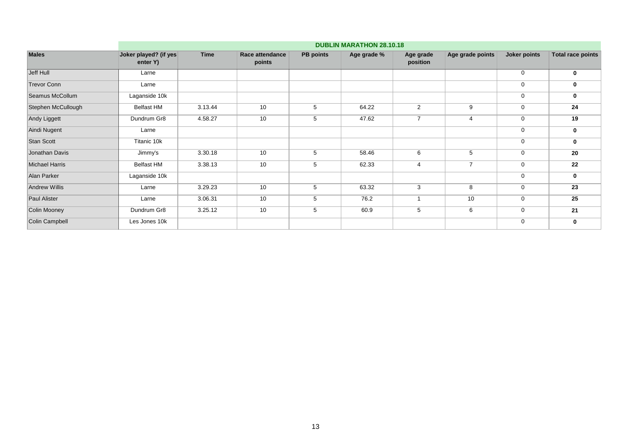| <b>Males</b>          |                                   | <b>DUBLIN MARATHON 28.10.18</b> |                           |                  |             |                       |                  |              |                          |  |  |  |  |
|-----------------------|-----------------------------------|---------------------------------|---------------------------|------------------|-------------|-----------------------|------------------|--------------|--------------------------|--|--|--|--|
|                       | Joker played? (if yes<br>enter Y) | <b>Time</b>                     | Race attendance<br>points | <b>PB</b> points | Age grade % | Age grade<br>position | Age grade points | Joker points | <b>Total race points</b> |  |  |  |  |
| Jeff Hull             | Larne                             |                                 |                           |                  |             |                       |                  | $\mathbf 0$  | 0                        |  |  |  |  |
| <b>Trevor Conn</b>    | Larne                             |                                 |                           |                  |             |                       |                  | $\mathbf 0$  | 0                        |  |  |  |  |
| Seamus McCollum       | Laganside 10k                     |                                 |                           |                  |             |                       |                  | $\mathbf 0$  | 0                        |  |  |  |  |
| Stephen McCullough    | <b>Belfast HM</b>                 | 3.13.44                         | 10                        | 5                | 64.22       | 2                     | 9                | $\mathbf 0$  | 24                       |  |  |  |  |
| Andy Liggett          | Dundrum Gr8                       | 4.58.27                         | 10                        | 5                | 47.62       | $\overline{7}$        | $\overline{4}$   | $\mathbf 0$  | 19                       |  |  |  |  |
| Aindi Nugent          | Larne                             |                                 |                           |                  |             |                       |                  | $\mathbf 0$  | 0                        |  |  |  |  |
| Stan Scott            | Titanic 10k                       |                                 |                           |                  |             |                       |                  | $\mathbf 0$  | 0                        |  |  |  |  |
| Jonathan Davis        | Jimmy's                           | 3.30.18                         | 10                        | 5                | 58.46       | 6                     | 5                | $\mathbf 0$  | 20                       |  |  |  |  |
| <b>Michael Harris</b> | <b>Belfast HM</b>                 | 3.38.13                         | 10                        | 5                | 62.33       | $\overline{4}$        | $\overline{7}$   | $\mathbf 0$  | 22                       |  |  |  |  |
| Alan Parker           | Laganside 10k                     |                                 |                           |                  |             |                       |                  | $\mathbf 0$  | 0                        |  |  |  |  |
| <b>Andrew Willis</b>  | Larne                             | 3.29.23                         | 10                        | 5                | 63.32       | 3                     | 8                | $\mathbf 0$  | 23                       |  |  |  |  |
| <b>Paul Alister</b>   | Larne                             | 3.06.31                         | 10                        | 5                | 76.2        |                       | 10               | $\mathbf 0$  | 25                       |  |  |  |  |
| Colin Mooney          | Dundrum Gr8                       | 3.25.12                         | 10                        | 5                | 60.9        | 5                     | 6                | $\mathbf 0$  | 21                       |  |  |  |  |
| Colin Campbell        | Les Jones 10k                     |                                 |                           |                  |             |                       |                  | $\mathbf 0$  | 0                        |  |  |  |  |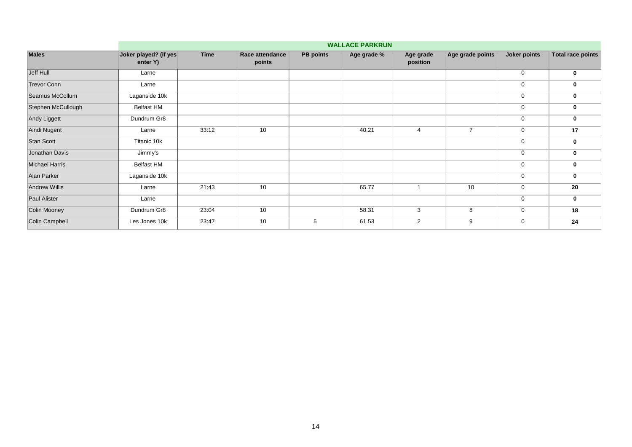| <b>Males</b>          | <b>WALLACE PARKRUN</b>            |             |                           |                  |             |                       |                  |              |                          |  |  |  |
|-----------------------|-----------------------------------|-------------|---------------------------|------------------|-------------|-----------------------|------------------|--------------|--------------------------|--|--|--|
|                       | Joker played? (if yes<br>enter Y) | <b>Time</b> | Race attendance<br>points | <b>PB points</b> | Age grade % | Age grade<br>position | Age grade points | Joker points | <b>Total race points</b> |  |  |  |
| Jeff Hull             | Larne                             |             |                           |                  |             |                       |                  | $\mathbf 0$  | 0                        |  |  |  |
| <b>Trevor Conn</b>    | Larne                             |             |                           |                  |             |                       |                  | $\mathbf 0$  | 0                        |  |  |  |
| Seamus McCollum       | Laganside 10k                     |             |                           |                  |             |                       |                  | $\mathbf 0$  | 0                        |  |  |  |
| Stephen McCullough    | <b>Belfast HM</b>                 |             |                           |                  |             |                       |                  | $\mathbf 0$  | 0                        |  |  |  |
| Andy Liggett          | Dundrum Gr8                       |             |                           |                  |             |                       |                  | $\mathbf 0$  | 0                        |  |  |  |
| Aindi Nugent          | Larne                             | 33:12       | 10                        |                  | 40.21       | 4                     | $\overline{7}$   | $\mathbf 0$  | 17                       |  |  |  |
| Stan Scott            | Titanic 10k                       |             |                           |                  |             |                       |                  | $\mathbf 0$  | 0                        |  |  |  |
| Jonathan Davis        | Jimmy's                           |             |                           |                  |             |                       |                  | $\mathbf 0$  | 0                        |  |  |  |
| <b>Michael Harris</b> | <b>Belfast HM</b>                 |             |                           |                  |             |                       |                  | $\mathbf 0$  | 0                        |  |  |  |
| Alan Parker           | Laganside 10k                     |             |                           |                  |             |                       |                  | $\mathbf 0$  | 0                        |  |  |  |
| Andrew Willis         | Larne                             | 21:43       | 10                        |                  | 65.77       |                       | 10               | $\mathbf 0$  | 20                       |  |  |  |
| Paul Alister          | Larne                             |             |                           |                  |             |                       |                  | $\mathbf 0$  | $\mathbf 0$              |  |  |  |
| Colin Mooney          | Dundrum Gr8                       | 23:04       | 10                        |                  | 58.31       | 3                     | 8                | $\mathbf 0$  | 18                       |  |  |  |
| Colin Campbell        | Les Jones 10k                     | 23:47       | 10                        | 5                | 61.53       | $\overline{2}$        | 9                | $\mathbf 0$  | 24                       |  |  |  |
|                       |                                   |             |                           |                  |             |                       |                  |              |                          |  |  |  |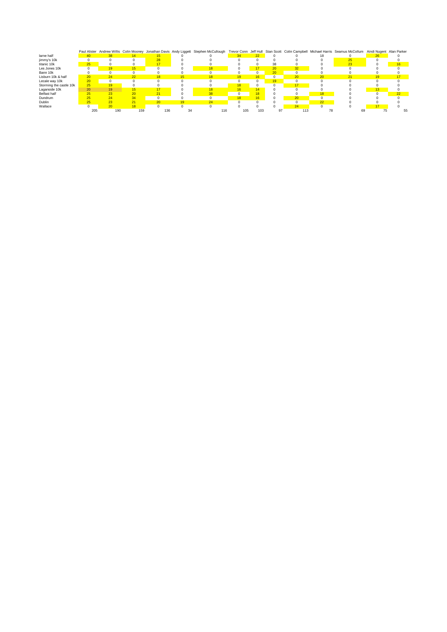|                         |                 |     |                 |     | Paul Alister Andrew Willis Colin Mooney Jonathan Davis Andy Liggett Stephen McCullough |     |            |                 |                 |                 | Trevor Conn Jeff Hull Stan Scott Colin Campbell Michael Harris Seamus McCollum Aindi Nugent Alan Parker |    |                 |
|-------------------------|-----------------|-----|-----------------|-----|----------------------------------------------------------------------------------------|-----|------------|-----------------|-----------------|-----------------|---------------------------------------------------------------------------------------------------------|----|-----------------|
| larne half              | 40              |     | 14              |     |                                                                                        | 34  | 22         |                 |                 |                 |                                                                                                         | 26 |                 |
| jimmy's 10k             |                 |     |                 | 28  |                                                                                        |     |            |                 |                 |                 |                                                                                                         |    |                 |
| titanic 10k             | 25              |     |                 |     |                                                                                        |     |            | 38              |                 |                 |                                                                                                         |    | 16 <sup>1</sup> |
| Les Jones 10k           |                 | 19  |                 |     | 18                                                                                     |     | 17         | 20 <sup>1</sup> | 32              |                 |                                                                                                         |    |                 |
| Bann 10k                |                 | 0   |                 |     |                                                                                        |     | $^{\circ}$ | 20              |                 |                 |                                                                                                         |    |                 |
| Lisburn 10k & half      | 20              | 24  | 22              | 18  |                                                                                        |     | 16         |                 | 20 <sup>1</sup> | 20 <sub>1</sub> |                                                                                                         | 19 |                 |
| Lecale way 10k          | 20 <sup>1</sup> | 0   |                 |     |                                                                                        |     | $\Omega$   | 19              | $\Omega$        |                 |                                                                                                         |    |                 |
| Storming the castle 10k | 25              | 19  |                 |     |                                                                                        | 18  | 0          |                 | 17              |                 |                                                                                                         |    |                 |
| Laganside 10k           | 20              | 19  |                 | 17  |                                                                                        |     | 14         |                 |                 |                 |                                                                                                         | 13 |                 |
| Belfast half            | 25              | 23  |                 | 21  | 38                                                                                     |     | 18         |                 |                 | 18              |                                                                                                         |    | 22              |
| Dundrum                 | 25              |     | 34              | 0   |                                                                                        | 18  | 16         |                 | 20              |                 |                                                                                                         |    |                 |
| Dublin                  | 25              |     | 21              | 20  | 24                                                                                     |     |            |                 |                 | 22              |                                                                                                         |    |                 |
| Wallace                 | 0               | 20  | 18 <sup>1</sup> |     |                                                                                        |     |            |                 | 24              |                 |                                                                                                         |    |                 |
|                         | 205             | 190 | 159             | 136 | 116                                                                                    | 105 | 103        | 97              | 113             |                 |                                                                                                         |    |                 |